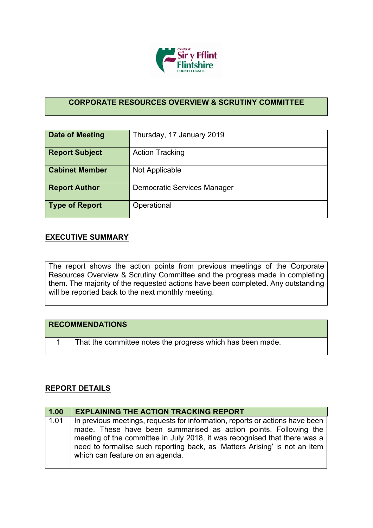

## **CORPORATE RESOURCES OVERVIEW & SCRUTINY COMMITTEE**

| Date of Meeting       | Thursday, 17 January 2019   |
|-----------------------|-----------------------------|
| <b>Report Subject</b> | <b>Action Tracking</b>      |
| <b>Cabinet Member</b> | Not Applicable              |
| <b>Report Author</b>  | Democratic Services Manager |
| Type of Report        | Operational                 |

## **EXECUTIVE SUMMARY**

The report shows the action points from previous meetings of the Corporate Resources Overview & Scrutiny Committee and the progress made in completing them. The majority of the requested actions have been completed. Any outstanding will be reported back to the next monthly meeting.

| <b>RECOMMENDATIONS</b>                                     |
|------------------------------------------------------------|
| That the committee notes the progress which has been made. |

## **REPORT DETAILS**

| 1.00 | <b>EXPLAINING THE ACTION TRACKING REPORT</b>                                                                                                                                                                                                                                                                                                   |
|------|------------------------------------------------------------------------------------------------------------------------------------------------------------------------------------------------------------------------------------------------------------------------------------------------------------------------------------------------|
| 1.01 | In previous meetings, requests for information, reports or actions have been<br>made. These have been summarised as action points. Following the<br>meeting of the committee in July 2018, it was recognised that there was a<br>need to formalise such reporting back, as 'Matters Arising' is not an item<br>which can feature on an agenda. |